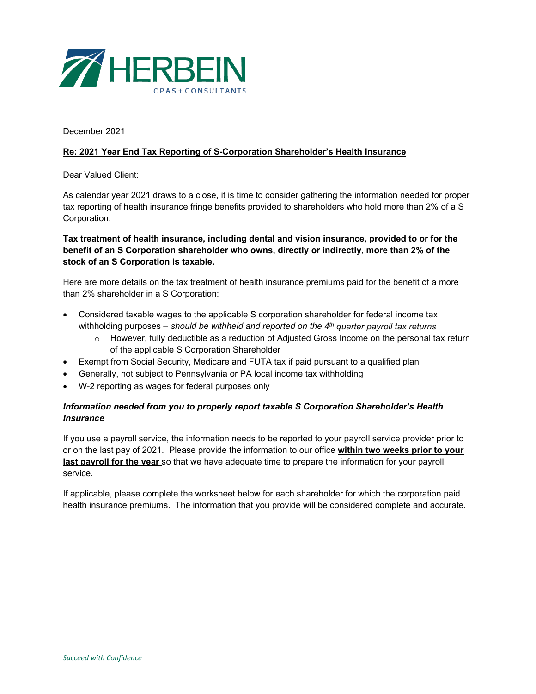

December 2021

## **Re: 2021 Year End Tax Reporting of S-Corporation Shareholder's Health Insurance**

Dear Valued Client:

As calendar year 2021 draws to a close, it is time to consider gathering the information needed for proper tax reporting of health insurance fringe benefits provided to shareholders who hold more than 2% of a S Corporation.

## **Tax treatment of health insurance, including dental and vision insurance, provided to or for the benefit of an S Corporation shareholder who owns, directly or indirectly, more than 2% of the stock of an S Corporation is taxable.**

Here are more details on the tax treatment of health insurance premiums paid for the benefit of a more than 2% shareholder in a S Corporation:

- Considered taxable wages to the applicable S corporation shareholder for federal income tax withholding purposes – *should be withheld and reported on the 4th quarter payroll tax returns*
	- $\circ$  However, fully deductible as a reduction of Adjusted Gross Income on the personal tax return of the applicable S Corporation Shareholder
- Exempt from Social Security, Medicare and FUTA tax if paid pursuant to a qualified plan
- Generally, not subject to Pennsylvania or PA local income tax withholding
- W-2 reporting as wages for federal purposes only

## *Information needed from you to properly report taxable S Corporation Shareholder's Health Insurance*

If you use a payroll service, the information needs to be reported to your payroll service provider prior to or on the last pay of 2021. Please provide the information to our office **within two weeks prior to your last payroll for the year** so that we have adequate time to prepare the information for your payroll service.

If applicable, please complete the worksheet below for each shareholder for which the corporation paid health insurance premiums. The information that you provide will be considered complete and accurate.